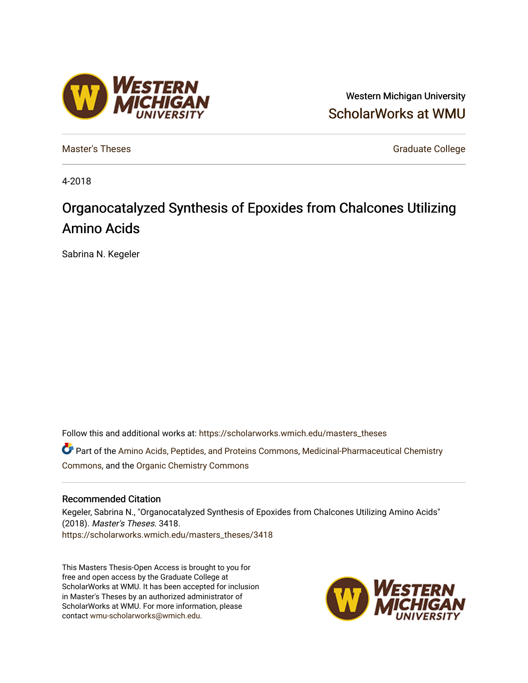# Western Michigan University [ScholarWorks at WMU](https://scholarworks.wmich.edu/)

[Master's Theses](https://scholarworks.wmich.edu/masters_theses) [Graduate College](https://scholarworks.wmich.edu/grad) Controller College College College College College

4-2018

# Organocatalyzed Synthesis of Epoxides from Chalcones Utilizing Amino Acids

Sabrina N. Kegeler

Follow this and additional works at: [https://scholarworks.wmich.edu/masters\\_theses](https://scholarworks.wmich.edu/masters_theses?utm_source=scholarworks.wmich.edu%2Fmasters_theses%2F3418&utm_medium=PDF&utm_campaign=PDFCoverPages) 

Part of the [Amino Acids, Peptides, and Proteins Commons](http://network.bepress.com/hgg/discipline/954?utm_source=scholarworks.wmich.edu%2Fmasters_theses%2F3418&utm_medium=PDF&utm_campaign=PDFCoverPages), [Medicinal-Pharmaceutical Chemistry](http://network.bepress.com/hgg/discipline/136?utm_source=scholarworks.wmich.edu%2Fmasters_theses%2F3418&utm_medium=PDF&utm_campaign=PDFCoverPages)  [Commons](http://network.bepress.com/hgg/discipline/136?utm_source=scholarworks.wmich.edu%2Fmasters_theses%2F3418&utm_medium=PDF&utm_campaign=PDFCoverPages), and the [Organic Chemistry Commons](http://network.bepress.com/hgg/discipline/138?utm_source=scholarworks.wmich.edu%2Fmasters_theses%2F3418&utm_medium=PDF&utm_campaign=PDFCoverPages) 

#### Recommended Citation

Kegeler, Sabrina N., "Organocatalyzed Synthesis of Epoxides from Chalcones Utilizing Amino Acids" (2018). Master's Theses. 3418. [https://scholarworks.wmich.edu/masters\\_theses/3418](https://scholarworks.wmich.edu/masters_theses/3418?utm_source=scholarworks.wmich.edu%2Fmasters_theses%2F3418&utm_medium=PDF&utm_campaign=PDFCoverPages) 

This Masters Thesis-Open Access is brought to you for free and open access by the Graduate College at ScholarWorks at WMU. It has been accepted for inclusion in Master's Theses by an authorized administrator of ScholarWorks at WMU. For more information, please contact [wmu-scholarworks@wmich.edu](mailto:wmu-scholarworks@wmich.edu).



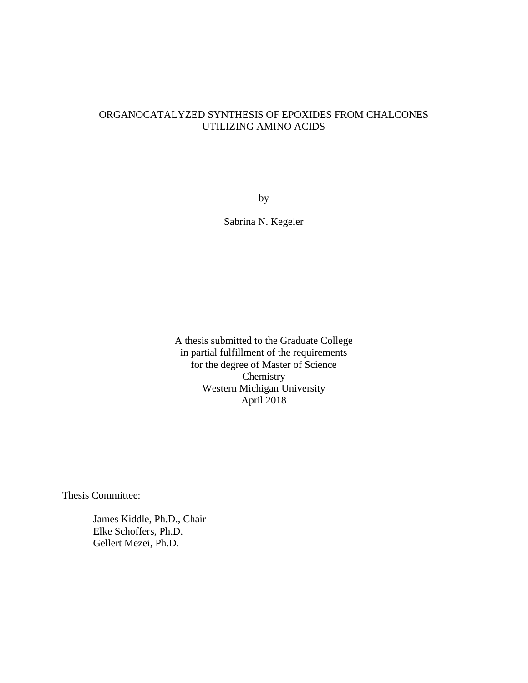### ORGANOCATALYZED SYNTHESIS OF EPOXIDES FROM CHALCONES UTILIZING AMINO ACIDS

by

Sabrina N. Kegeler

A thesis submitted to the Graduate College in partial fulfillment of the requirements for the degree of Master of Science Chemistry Western Michigan University April 2018

Thesis Committee:

James Kiddle, Ph.D., Chair Elke Schoffers, Ph.D. Gellert Mezei, Ph.D.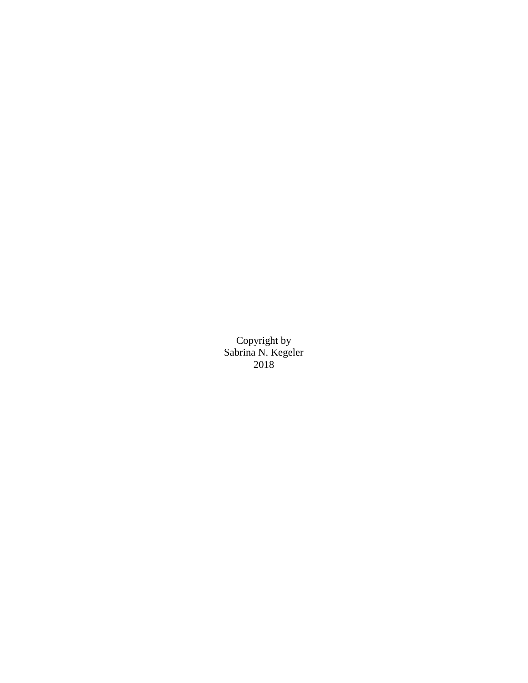Copyright by Sabrina N. Kegeler 2018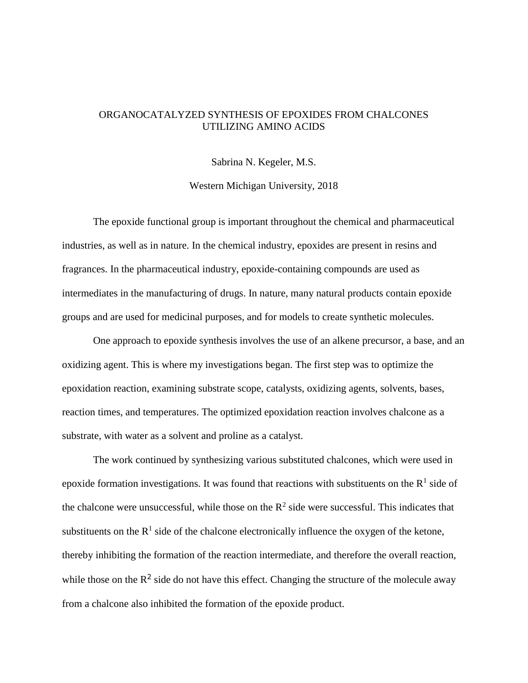### ORGANOCATALYZED SYNTHESIS OF EPOXIDES FROM CHALCONES UTILIZING AMINO ACIDS

Sabrina N. Kegeler, M.S.

Western Michigan University, 2018

The epoxide functional group is important throughout the chemical and pharmaceutical industries, as well as in nature. In the chemical industry, epoxides are present in resins and fragrances. In the pharmaceutical industry, epoxide-containing compounds are used as intermediates in the manufacturing of drugs. In nature, many natural products contain epoxide groups and are used for medicinal purposes, and for models to create synthetic molecules.

One approach to epoxide synthesis involves the use of an alkene precursor, a base, and an oxidizing agent. This is where my investigations began. The first step was to optimize the epoxidation reaction, examining substrate scope, catalysts, oxidizing agents, solvents, bases, reaction times, and temperatures. The optimized epoxidation reaction involves chalcone as a substrate, with water as a solvent and proline as a catalyst.

The work continued by synthesizing various substituted chalcones, which were used in epoxide formation investigations. It was found that reactions with substituents on the  $R<sup>1</sup>$  side of the chalcone were unsuccessful, while those on the  $\mathbb{R}^2$  side were successful. This indicates that substituents on the  $R^1$  side of the chalcone electronically influence the oxygen of the ketone, thereby inhibiting the formation of the reaction intermediate, and therefore the overall reaction, while those on the  $\mathbb{R}^2$  side do not have this effect. Changing the structure of the molecule away from a chalcone also inhibited the formation of the epoxide product.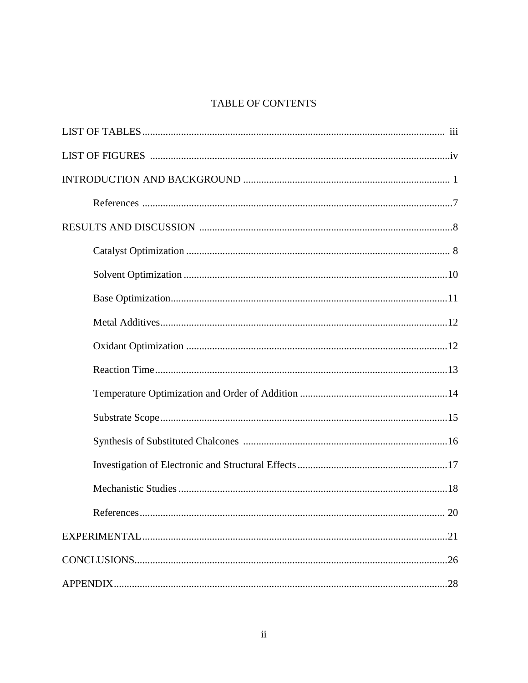### TABLE OF CONTENTS

| 20 |
|----|
|    |
|    |
|    |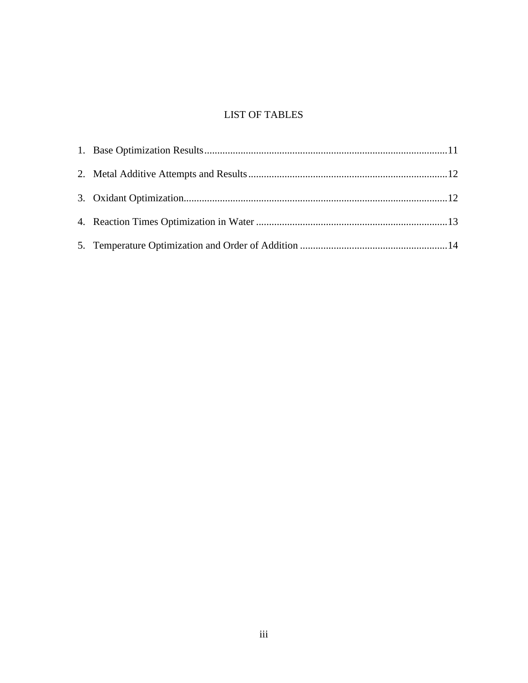### LIST OF TABLES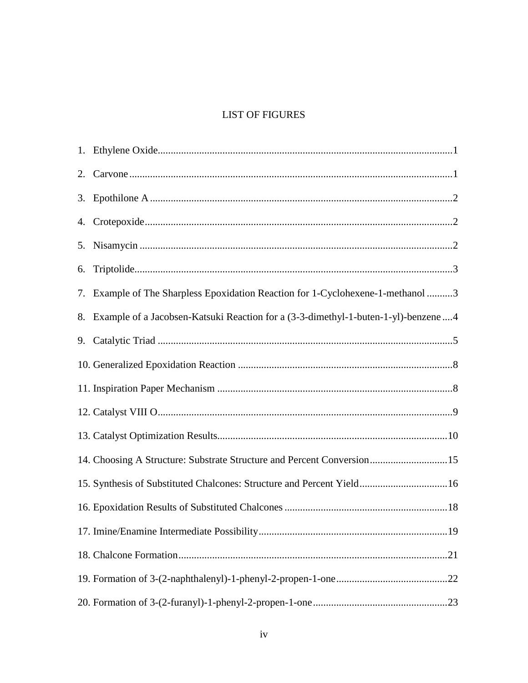### **LIST OF FIGURES**

| 6. |                                                                                      |
|----|--------------------------------------------------------------------------------------|
|    | 7. Example of The Sharpless Epoxidation Reaction for 1-Cyclohexene-1-methanol 3      |
|    | 8. Example of a Jacobsen-Katsuki Reaction for a (3-3-dimethyl-1-buten-1-yl)-benzene4 |
|    |                                                                                      |
|    |                                                                                      |
|    |                                                                                      |
|    |                                                                                      |
|    |                                                                                      |
|    | 14. Choosing A Structure: Substrate Structure and Percent Conversion15               |
|    | 15. Synthesis of Substituted Chalcones: Structure and Percent Yield 16               |
|    |                                                                                      |
|    |                                                                                      |
|    |                                                                                      |
|    |                                                                                      |
|    |                                                                                      |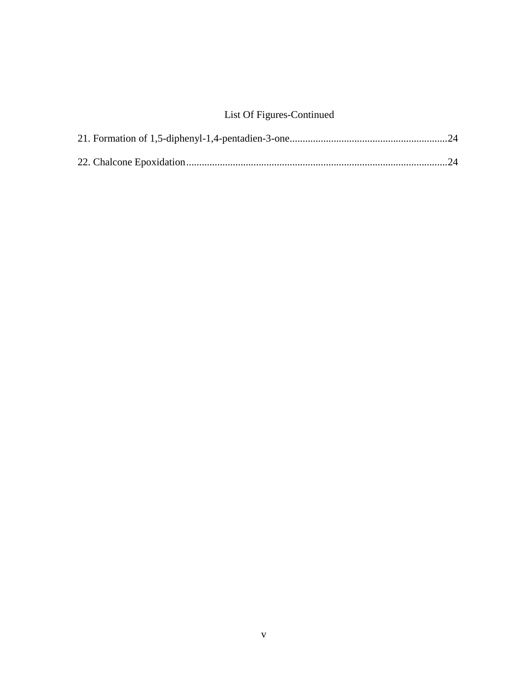# List Of Figures-Continued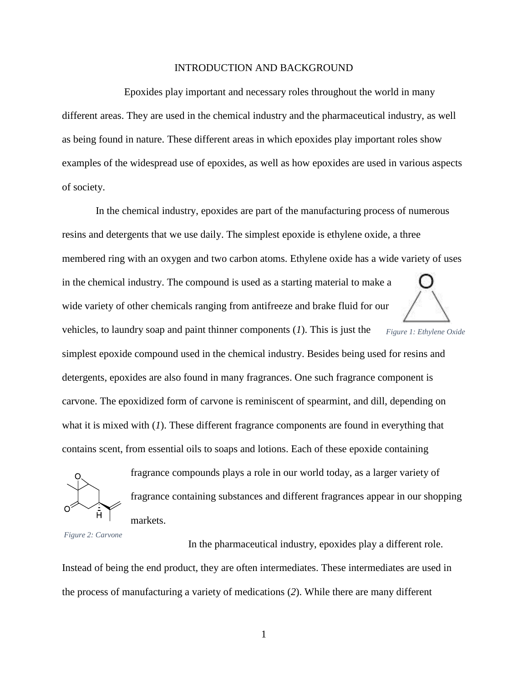#### INTRODUCTION AND BACKGROUND

Epoxides play important and necessary roles throughout the world in many different areas. They are used in the chemical industry and the pharmaceutical industry, as well as being found in nature. These different areas in which epoxides play important roles show examples of the widespread use of epoxides, as well as how epoxides are used in various aspects of society.

In the chemical industry, epoxides are part of the manufacturing process of numerous resins and detergents that we use daily. The simplest epoxide is ethylene oxide, a three membered ring with an oxygen and two carbon atoms. Ethylene oxide has a wide variety of uses in the chemical industry. The compound is used as a starting material to make a wide variety of other chemicals ranging from antifreeze and brake fluid for our vehicles, to laundry soap and paint thinner components (*1*). This is just the simplest epoxide compound used in the chemical industry. Besides being used for resins and detergents, epoxides are also found in many fragrances. One such fragrance component is carvone. The epoxidized form of carvone is reminiscent of spearmint, and dill, depending on what it is mixed with (*1*). These different fragrance components are found in everything that contains scent, from essential oils to soaps and lotions. Each of these epoxide containing *Figure 1: Ethylene Oxide*



fragrance compounds plays a role in our world today, as a larger variety of fragrance containing substances and different fragrances appear in our shopping markets.

*Figure 2: Carvone*

In the pharmaceutical industry, epoxides play a different role.

Instead of being the end product, they are often intermediates. These intermediates are used in the process of manufacturing a variety of medications (*2*). While there are many different

1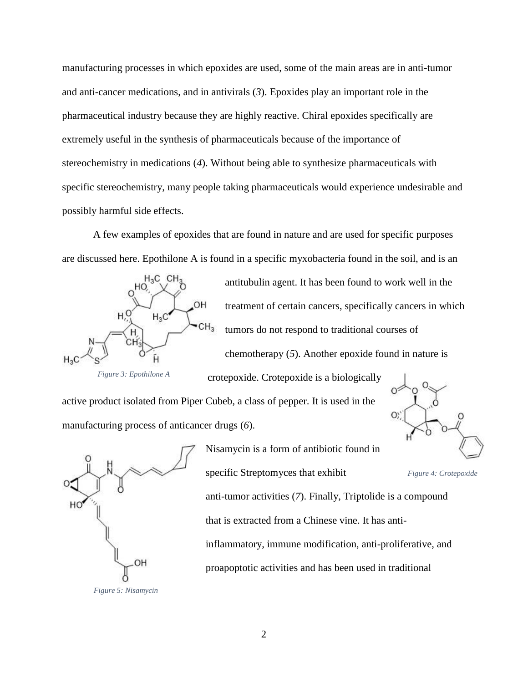manufacturing processes in which epoxides are used, some of the main areas are in anti-tumor and anti-cancer medications, and in antivirals (*3*). Epoxides play an important role in the pharmaceutical industry because they are highly reactive. Chiral epoxides specifically are extremely useful in the synthesis of pharmaceuticals because of the importance of stereochemistry in medications (*4*). Without being able to synthesize pharmaceuticals with specific stereochemistry, many people taking pharmaceuticals would experience undesirable and possibly harmful side effects.

A few examples of epoxides that are found in nature and are used for specific purposes are discussed here. Epothilone A is found in a specific myxobacteria found in the soil, and is an



antitubulin agent. It has been found to work well in the treatment of certain cancers, specifically cancers in which tumors do not respond to traditional courses of chemotherapy (*5*). Another epoxide found in nature is

*Figure 3: Epothilone A*

active product isolated from Piper Cubeb, a class of pepper. It is used in the manufacturing process of anticancer drugs (*6*).



Nisamycin is a form of antibiotic found in specific Streptomyces that exhibit

crotepoxide. Crotepoxide is a biologically



anti-tumor activities (*7*). Finally, Triptolide is a compound that is extracted from a Chinese vine. It has antiinflammatory, immune modification, anti-proliferative, and proapoptotic activities and has been used in traditional

*Figure 5: Nisamycin*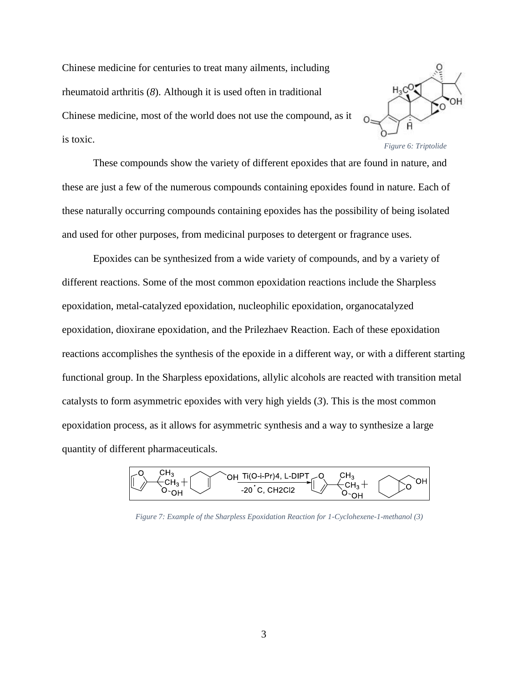Chinese medicine for centuries to treat many ailments, including rheumatoid arthritis (*8*). Although it is used often in traditional Chinese medicine, most of the world does not use the compound, as it is toxic.



These compounds show the variety of different epoxides that are found in nature, and these are just a few of the numerous compounds containing epoxides found in nature. Each of these naturally occurring compounds containing epoxides has the possibility of being isolated and used for other purposes, from medicinal purposes to detergent or fragrance uses.

Epoxides can be synthesized from a wide variety of compounds, and by a variety of different reactions. Some of the most common epoxidation reactions include the Sharpless epoxidation, metal-catalyzed epoxidation, nucleophilic epoxidation, organocatalyzed epoxidation, dioxirane epoxidation, and the Prilezhaev Reaction. Each of these epoxidation reactions accomplishes the synthesis of the epoxide in a different way, or with a different starting functional group. In the Sharpless epoxidations, allylic alcohols are reacted with transition metal catalysts to form asymmetric epoxides with very high yields (*3*). This is the most common epoxidation process, as it allows for asymmetric synthesis and a way to synthesize a large quantity of different pharmaceuticals.



*Figure 7: Example of the Sharpless Epoxidation Reaction for 1-Cyclohexene-1-methanol (3)*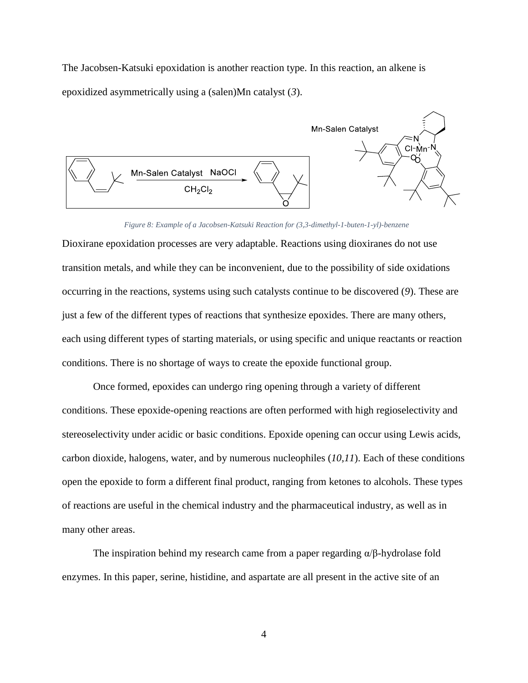The Jacobsen-Katsuki epoxidation is another reaction type. In this reaction, an alkene is epoxidized asymmetrically using a (salen)Mn catalyst (*3*).



*Figure 8: Example of a Jacobsen-Katsuki Reaction for (3,3-dimethyl-1-buten-1-yl)-benzene*

Dioxirane epoxidation processes are very adaptable. Reactions using dioxiranes do not use transition metals, and while they can be inconvenient, due to the possibility of side oxidations occurring in the reactions, systems using such catalysts continue to be discovered (*9*). These are just a few of the different types of reactions that synthesize epoxides. There are many others, each using different types of starting materials, or using specific and unique reactants or reaction conditions. There is no shortage of ways to create the epoxide functional group.

Once formed, epoxides can undergo ring opening through a variety of different conditions. These epoxide-opening reactions are often performed with high regioselectivity and stereoselectivity under acidic or basic conditions. Epoxide opening can occur using Lewis acids, carbon dioxide, halogens, water, and by numerous nucleophiles (*10,11*). Each of these conditions open the epoxide to form a different final product, ranging from ketones to alcohols. These types of reactions are useful in the chemical industry and the pharmaceutical industry, as well as in many other areas.

The inspiration behind my research came from a paper regarding  $\alpha/\beta$ -hydrolase fold enzymes. In this paper, serine, histidine, and aspartate are all present in the active site of an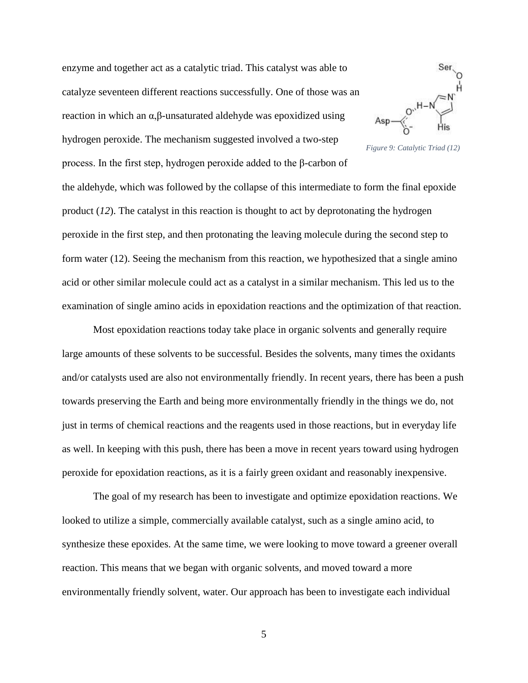enzyme and together act as a catalytic triad. This catalyst was able to catalyze seventeen different reactions successfully. One of those was an reaction in which an α,β-unsaturated aldehyde was epoxidized using hydrogen peroxide. The mechanism suggested involved a two-step process. In the first step, hydrogen peroxide added to the β-carbon of



*Figure 9: Catalytic Triad (12)*

the aldehyde, which was followed by the collapse of this intermediate to form the final epoxide product (*12*). The catalyst in this reaction is thought to act by deprotonating the hydrogen peroxide in the first step, and then protonating the leaving molecule during the second step to form water (12). Seeing the mechanism from this reaction, we hypothesized that a single amino acid or other similar molecule could act as a catalyst in a similar mechanism. This led us to the examination of single amino acids in epoxidation reactions and the optimization of that reaction.

Most epoxidation reactions today take place in organic solvents and generally require large amounts of these solvents to be successful. Besides the solvents, many times the oxidants and/or catalysts used are also not environmentally friendly. In recent years, there has been a push towards preserving the Earth and being more environmentally friendly in the things we do, not just in terms of chemical reactions and the reagents used in those reactions, but in everyday life as well. In keeping with this push, there has been a move in recent years toward using hydrogen peroxide for epoxidation reactions, as it is a fairly green oxidant and reasonably inexpensive.

The goal of my research has been to investigate and optimize epoxidation reactions. We looked to utilize a simple, commercially available catalyst, such as a single amino acid, to synthesize these epoxides. At the same time, we were looking to move toward a greener overall reaction. This means that we began with organic solvents, and moved toward a more environmentally friendly solvent, water. Our approach has been to investigate each individual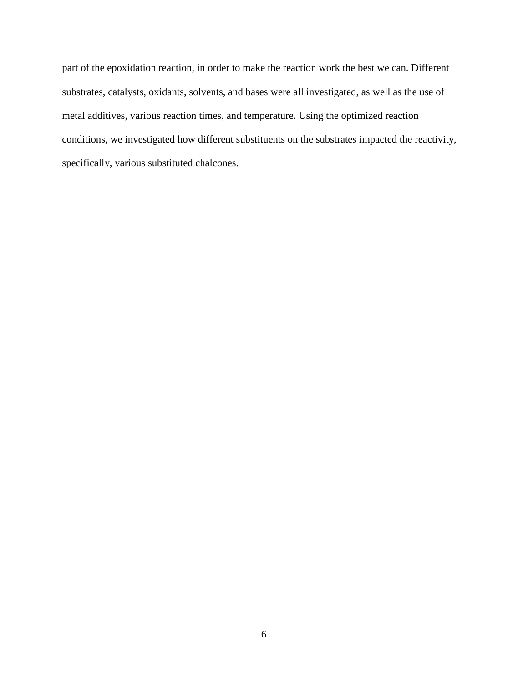part of the epoxidation reaction, in order to make the reaction work the best we can. Different substrates, catalysts, oxidants, solvents, and bases were all investigated, as well as the use of metal additives, various reaction times, and temperature. Using the optimized reaction conditions, we investigated how different substituents on the substrates impacted the reactivity, specifically, various substituted chalcones.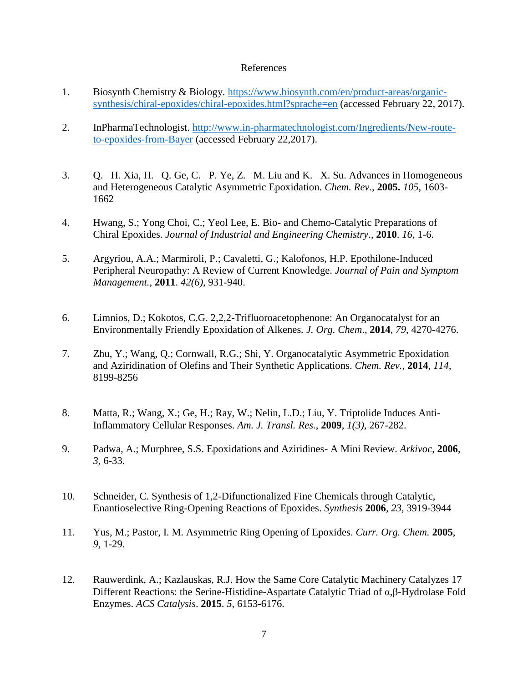#### References

- 1. Biosynth Chemistry & Biology. [https://www.biosynth.com/en/product-areas/organic](https://www.biosynth.com/en/product-areas/organic-%20%20%20%20synthesis/chiral-epoxides/chiral-epoxides.html?sprache=en)[synthesis/chiral-epoxides/chiral-epoxides.html?sprache=en](https://www.biosynth.com/en/product-areas/organic-%20%20%20%20synthesis/chiral-epoxides/chiral-epoxides.html?sprache=en) (accessed February 22, 2017).
- 2. InPharmaTechnologist. [http://www.in-pharmatechnologist.com/Ingredients/New-route](http://www.in-pharmatechnologist.com/Ingredients/New-route-to-epoxides-from-Bayer)[to-epoxides-from-Bayer](http://www.in-pharmatechnologist.com/Ingredients/New-route-to-epoxides-from-Bayer) (accessed February 22,2017).
- 3. Q. –H. Xia, H. –Q. Ge, C. –P. Ye, Z. –M. Liu and K. –X. Su. Advances in Homogeneous and Heterogeneous Catalytic Asymmetric Epoxidation. *Chem. Rev.*, **2005.** *105,* 1603- 1662
- 4. Hwang, S.; Yong Choi, C.; Yeol Lee, E. Bio- and Chemo-Catalytic Preparations of Chiral Epoxides. *Journal of Industrial and Engineering Chemistry*., **2010**. *16,* 1-6.
- 5. Argyriou, A.A.; Marmiroli, P.; Cavaletti, G.; Kalofonos, H.P. Epothilone-Induced Peripheral Neuropathy: A Review of Current Knowledge. *Journal of Pain and Symptom Management.,* **2011**. *42(6)*, 931-940.
- 6. Limnios, D.; Kokotos, C.G. 2,2,2-Trifluoroacetophenone: An Organocatalyst for an Environmentally Friendly Epoxidation of Alkenes*. J. Org. Chem*., **2014**, *79*, 4270-4276.
- 7. Zhu, Y.; Wang, Q.; Cornwall, R.G.; Shi, Y. Organocatalytic Asymmetric Epoxidation and Aziridination of Olefins and Their Synthetic Applications. *Chem. Rev.*, **2014**, *114*, 8199-8256
- 8. Matta, R.; Wang, X.; Ge, H.; Ray, W.; Nelin, L.D.; Liu, Y. Triptolide Induces Anti-Inflammatory Cellular Responses. *Am. J. Transl. Res.*, **2009**, *1(3)*, 267-282.
- 9. Padwa, A.; Murphree, S.S. Epoxidations and Aziridines- A Mini Review. *Arkivoc*, **2006**, *3,* 6-33.
- 10. Schneider, C. Synthesis of 1,2-Difunctionalized Fine Chemicals through Catalytic, Enantioselective Ring-Opening Reactions of Epoxides. *Synthesis* **2006**, *23*, 3919-3944
- 11. Yus, M.; Pastor, I. M. Asymmetric Ring Opening of Epoxides. *Curr. Org. Chem.* **2005**, *9,* 1-29.
- 12. Rauwerdink, A.; Kazlauskas, R.J. How the Same Core Catalytic Machinery Catalyzes 17 Different Reactions: the Serine-Histidine-Aspartate Catalytic Triad of α,β-Hydrolase Fold Enzymes. *ACS Catalysis*. **2015**. *5*, 6153-6176.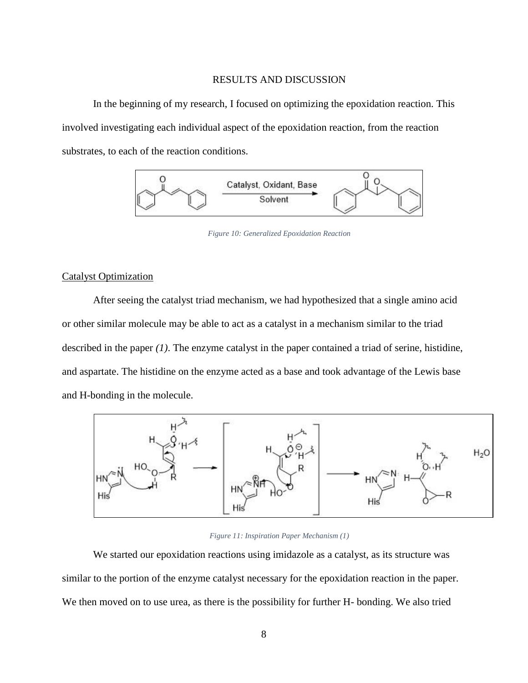#### RESULTS AND DISCUSSION

In the beginning of my research, I focused on optimizing the epoxidation reaction. This involved investigating each individual aspect of the epoxidation reaction, from the reaction substrates, to each of the reaction conditions.



*Figure 10: Generalized Epoxidation Reaction*

#### Catalyst Optimization

After seeing the catalyst triad mechanism, we had hypothesized that a single amino acid or other similar molecule may be able to act as a catalyst in a mechanism similar to the triad described in the paper *(1)*. The enzyme catalyst in the paper contained a triad of serine, histidine, and aspartate. The histidine on the enzyme acted as a base and took advantage of the Lewis base and H-bonding in the molecule.



#### *Figure 11: Inspiration Paper Mechanism (1)*

We started our epoxidation reactions using imidazole as a catalyst, as its structure was similar to the portion of the enzyme catalyst necessary for the epoxidation reaction in the paper. We then moved on to use urea, as there is the possibility for further H- bonding. We also tried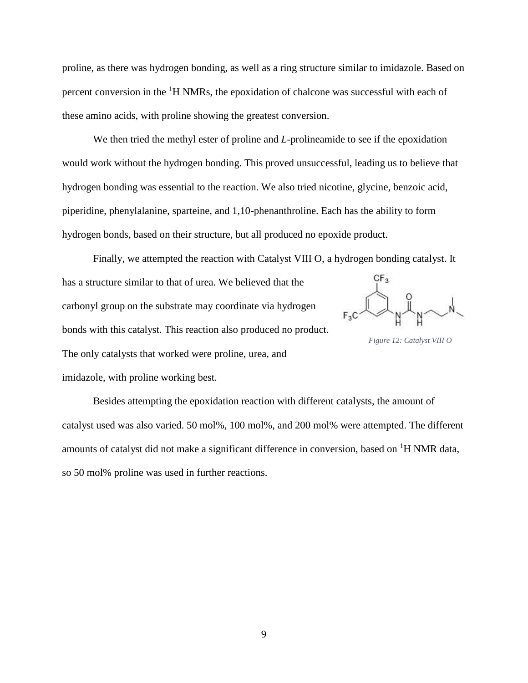proline, as there was hydrogen bonding, as well as a ring structure similar to imidazole. Based on percent conversion in the  ${}^{1}H$  NMRs, the epoxidation of chalcone was successful with each of these amino acids, with proline showing the greatest conversion.

We then tried the methyl ester of proline and *L*-prolineamide to see if the epoxidation would work without the hydrogen bonding. This proved unsuccessful, leading us to believe that hydrogen bonding was essential to the reaction. We also tried nicotine, glycine, benzoic acid, piperidine, phenylalanine, sparteine, and 1,10-phenanthroline. Each has the ability to form hydrogen bonds, based on their structure, but all produced no epoxide product.

Finally, we attempted the reaction with Catalyst VIII O, a hydrogen bonding catalyst. It has a structure similar to that of urea. We believed that the  $F_{5}C\rightarrow P_{N}C$ carbonyl group on the substrate may coordinate via hydrogen bonds with this catalyst. This reaction also produced no product. *Figure 12: Catalyst VIII O*The only catalysts that worked were proline, urea, and imidazole, with proline working best.

Besides attempting the epoxidation reaction with different catalysts, the amount of catalyst used was also varied. 50 mol%, 100 mol%, and 200 mol% were attempted. The different amounts of catalyst did not make a significant difference in conversion, based on  ${}^{1}H$  NMR data, so 50 mol% proline was used in further reactions.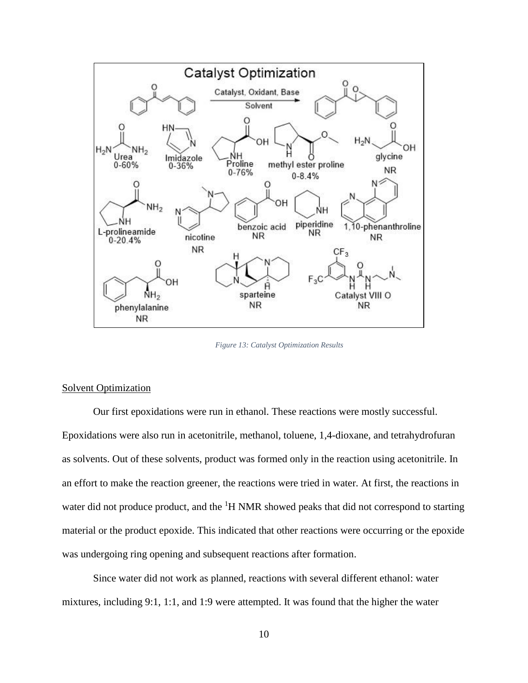

*Figure 13: Catalyst Optimization Results*

#### Solvent Optimization

Our first epoxidations were run in ethanol. These reactions were mostly successful. Epoxidations were also run in acetonitrile, methanol, toluene, 1,4-dioxane, and tetrahydrofuran as solvents. Out of these solvents, product was formed only in the reaction using acetonitrile. In an effort to make the reaction greener, the reactions were tried in water. At first, the reactions in water did not produce product, and the  ${}^{1}H$  NMR showed peaks that did not correspond to starting material or the product epoxide. This indicated that other reactions were occurring or the epoxide was undergoing ring opening and subsequent reactions after formation.

Since water did not work as planned, reactions with several different ethanol: water mixtures, including 9:1, 1:1, and 1:9 were attempted. It was found that the higher the water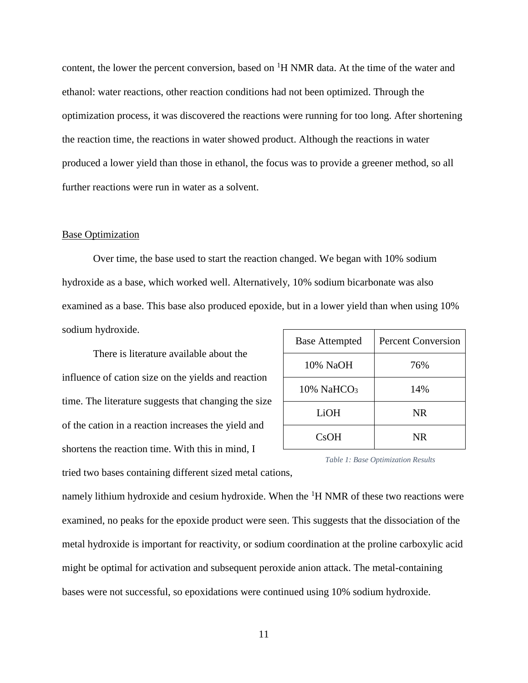content, the lower the percent conversion, based on  ${}^{1}H$  NMR data. At the time of the water and ethanol: water reactions, other reaction conditions had not been optimized. Through the optimization process, it was discovered the reactions were running for too long. After shortening the reaction time, the reactions in water showed product. Although the reactions in water produced a lower yield than those in ethanol, the focus was to provide a greener method, so all further reactions were run in water as a solvent.

#### Base Optimization

Over time, the base used to start the reaction changed. We began with 10% sodium hydroxide as a base, which worked well. Alternatively, 10% sodium bicarbonate was also examined as a base. This base also produced epoxide, but in a lower yield than when using 10% sodium hydroxide.

There is literature available about the influence of cation size on the yields and reaction time. The literature suggests that changing the size of the cation in a reaction increases the yield and shortens the reaction time. With this in mind, I tried two bases containing different sized metal cations,

| <b>Base Attempted</b>  | <b>Percent Conversion</b> |
|------------------------|---------------------------|
| 10% NaOH               | 76%                       |
| 10% NaHCO <sub>3</sub> | 14%                       |
| LiOH                   | NR.                       |
| <b>CsOH</b>            | <b>NR</b>                 |

*Table 1: Base Optimization Results*

namely lithium hydroxide and cesium hydroxide. When the  ${}^{1}H$  NMR of these two reactions were examined, no peaks for the epoxide product were seen. This suggests that the dissociation of the metal hydroxide is important for reactivity, or sodium coordination at the proline carboxylic acid might be optimal for activation and subsequent peroxide anion attack. The metal-containing bases were not successful, so epoxidations were continued using 10% sodium hydroxide.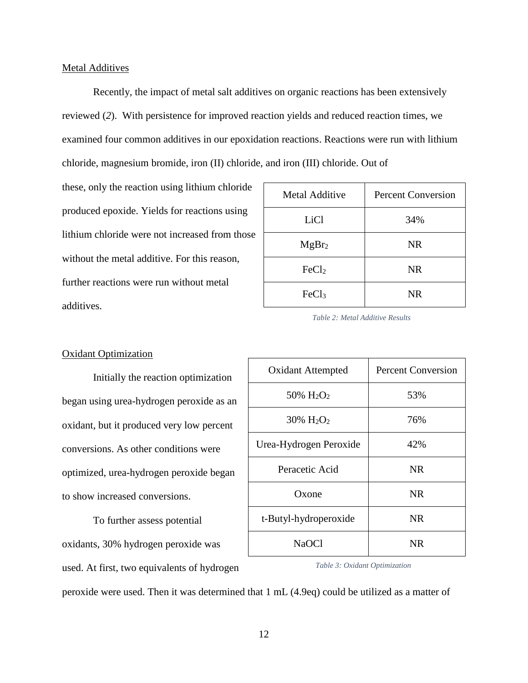Recently, the impact of metal salt additives on organic reactions has been extensively reviewed (*2*). With persistence for improved reaction yields and reduced reaction times, we examined four common additives in our epoxidation reactions. Reactions were run with lithium chloride, magnesium bromide, iron (II) chloride, and iron (III) chloride. Out of

these, only the reaction using lithium chloride produced epoxide. Yields for reactions using lithium chloride were not increased from those without the metal additive. For this reason, further reactions were run without metal additives.

| <b>Metal Additive</b> | <b>Percent Conversion</b> |
|-----------------------|---------------------------|
| LiCl                  | 34%                       |
| MgBr <sub>2</sub>     | <b>NR</b>                 |
| FeCl <sub>2</sub>     | <b>NR</b>                 |
| FeCl <sub>3</sub>     | <b>NR</b>                 |

*Table 2: Metal Additive Results*

Oxidant Attempted Percent Conversion

 $50\%$  H<sub>2</sub>O<sub>2</sub> 1 53\%

#### Oxidant Optimization

Initially the reaction optimization began using urea-hydrogen peroxide as an oxidant, but it produced very low percent conversions. As other conditions were optimized, urea-hydrogen peroxide began to show increased conversions.

To further assess potential oxidants, 30% hydrogen peroxide was used. At first, two equivalents of hydrogen

| $30\% \text{ H}_2\text{O}_2$ | 76%       |
|------------------------------|-----------|
| Urea-Hydrogen Peroxide       | 42%       |
| Peracetic Acid               | NR.       |
| Oxone                        | <b>NR</b> |
| t-Butyl-hydroperoxide        | NR.       |
| <b>NaOCl</b>                 | NR.       |

*Table 3: Oxidant Optimization*

peroxide were used. Then it was determined that 1 mL (4.9eq) could be utilized as a matter of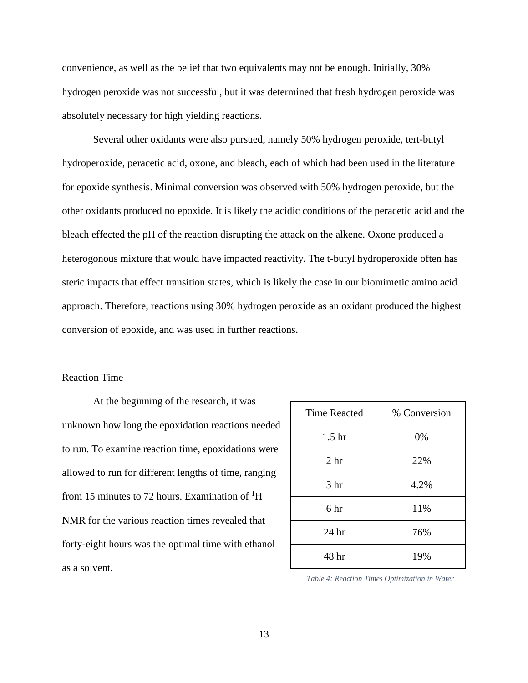convenience, as well as the belief that two equivalents may not be enough. Initially, 30% hydrogen peroxide was not successful, but it was determined that fresh hydrogen peroxide was absolutely necessary for high yielding reactions.

Several other oxidants were also pursued, namely 50% hydrogen peroxide, tert-butyl hydroperoxide, peracetic acid, oxone, and bleach, each of which had been used in the literature for epoxide synthesis. Minimal conversion was observed with 50% hydrogen peroxide, but the other oxidants produced no epoxide. It is likely the acidic conditions of the peracetic acid and the bleach effected the pH of the reaction disrupting the attack on the alkene. Oxone produced a heterogonous mixture that would have impacted reactivity. The t-butyl hydroperoxide often has steric impacts that effect transition states, which is likely the case in our biomimetic amino acid approach. Therefore, reactions using 30% hydrogen peroxide as an oxidant produced the highest conversion of epoxide, and was used in further reactions.

#### Reaction Time

At the beginning of the research, it was unknown how long the epoxidation reactions needed to run. To examine reaction time, epoxidations were allowed to run for different lengths of time, ranging from 15 minutes to 72 hours. Examination of  ${}^{1}H$ NMR for the various reaction times revealed that forty-eight hours was the optimal time with ethanol as a solvent.

| <b>Time Reacted</b> | % Conversion |
|---------------------|--------------|
| 1.5 <sub>hr</sub>   | 0%           |
| 2 <sub>hr</sub>     | 22%          |
| 3 <sub>hr</sub>     | 4.2%         |
| 6 hr                | 11%          |
| 24 <sub>hr</sub>    | 76%          |
| 48 hr               | 19%          |

*Table 4: Reaction Times Optimization in Water*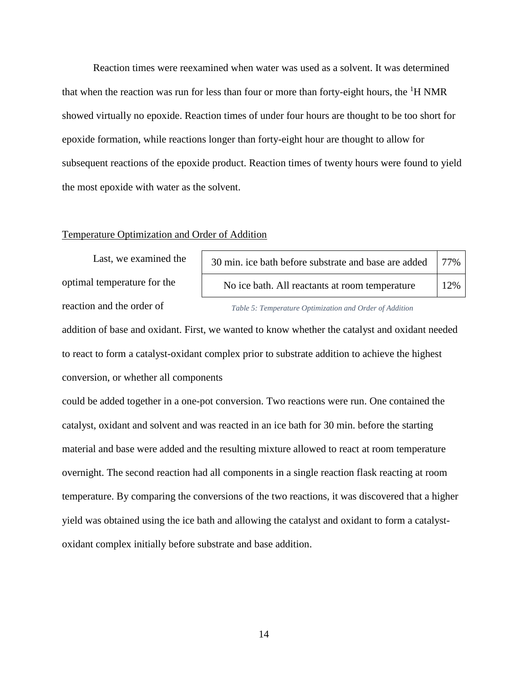Reaction times were reexamined when water was used as a solvent. It was determined that when the reaction was run for less than four or more than forty-eight hours, the  ${}^{1}H$  NMR showed virtually no epoxide. Reaction times of under four hours are thought to be too short for epoxide formation, while reactions longer than forty-eight hour are thought to allow for subsequent reactions of the epoxide product. Reaction times of twenty hours were found to yield the most epoxide with water as the solvent.

#### Temperature Optimization and Order of Addition

Last, we examined the optimal temperature for the reaction and the order of

| 30 min. ice bath before substrate and base are added   77%  <br>No ice bath. All reactants at room temperature<br>12% |  |
|-----------------------------------------------------------------------------------------------------------------------|--|
|                                                                                                                       |  |

addition of base and oxidant. First, we wanted to know whether the catalyst and oxidant needed to react to form a catalyst-oxidant complex prior to substrate addition to achieve the highest conversion, or whether all components

could be added together in a one-pot conversion. Two reactions were run. One contained the catalyst, oxidant and solvent and was reacted in an ice bath for 30 min. before the starting material and base were added and the resulting mixture allowed to react at room temperature overnight. The second reaction had all components in a single reaction flask reacting at room temperature. By comparing the conversions of the two reactions, it was discovered that a higher yield was obtained using the ice bath and allowing the catalyst and oxidant to form a catalystoxidant complex initially before substrate and base addition.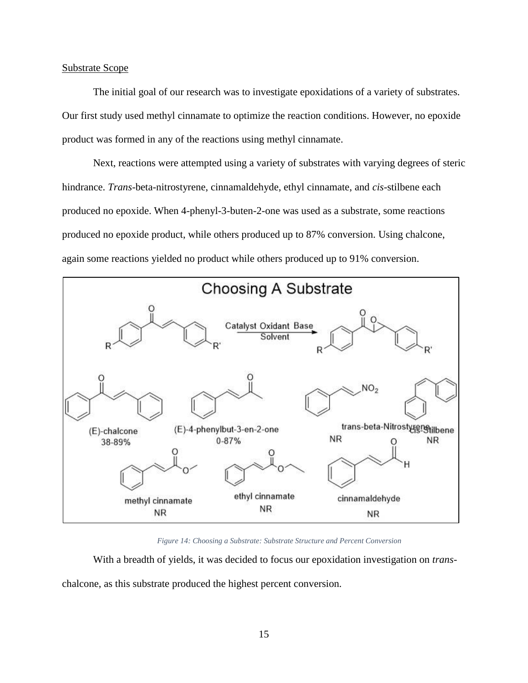#### Substrate Scope

The initial goal of our research was to investigate epoxidations of a variety of substrates. Our first study used methyl cinnamate to optimize the reaction conditions. However, no epoxide product was formed in any of the reactions using methyl cinnamate.

Next, reactions were attempted using a variety of substrates with varying degrees of steric hindrance. *Trans*-beta-nitrostyrene, cinnamaldehyde, ethyl cinnamate, and *cis*-stilbene each produced no epoxide. When 4-phenyl-3-buten-2-one was used as a substrate, some reactions produced no epoxide product, while others produced up to 87% conversion. Using chalcone, again some reactions yielded no product while others produced up to 91% conversion.



*Figure 14: Choosing a Substrate: Substrate Structure and Percent Conversion*

With a breadth of yields, it was decided to focus our epoxidation investigation on *trans*chalcone, as this substrate produced the highest percent conversion.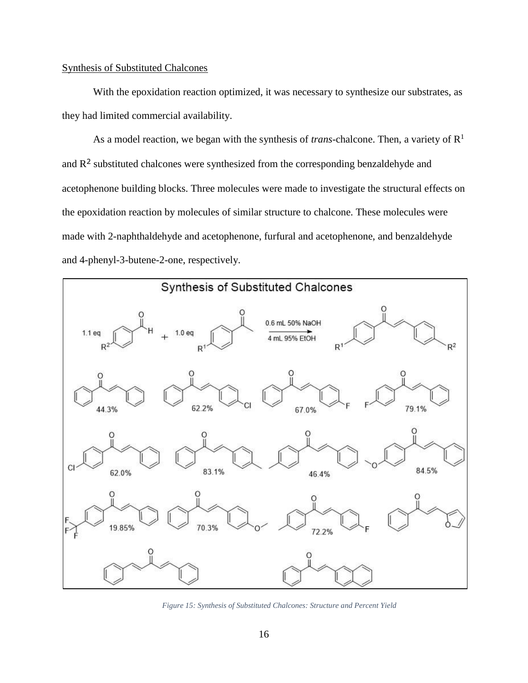#### Synthesis of Substituted Chalcones

With the epoxidation reaction optimized, it was necessary to synthesize our substrates, as they had limited commercial availability.

As a model reaction, we began with the synthesis of *trans*-chalcone. Then, a variety of  $\mathbb{R}^1$ and  $R<sup>2</sup>$  substituted chalcones were synthesized from the corresponding benzaldehyde and acetophenone building blocks. Three molecules were made to investigate the structural effects on the epoxidation reaction by molecules of similar structure to chalcone. These molecules were made with 2-naphthaldehyde and acetophenone, furfural and acetophenone, and benzaldehyde and 4-phenyl-3-butene-2-one, respectively.



*Figure 15: Synthesis of Substituted Chalcones: Structure and Percent Yield*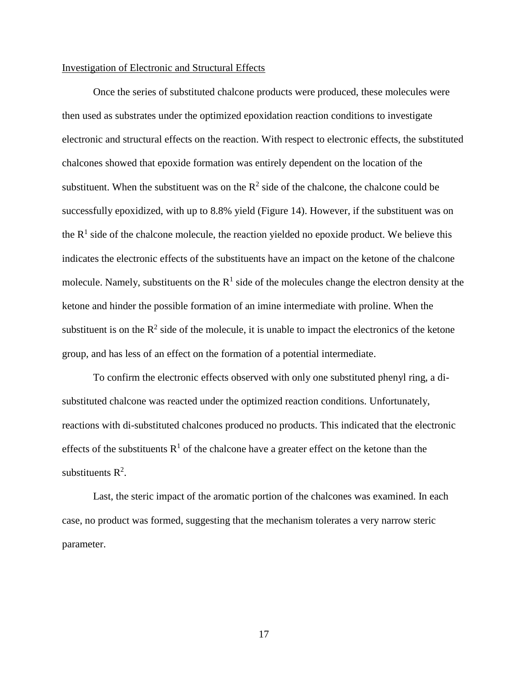#### Investigation of Electronic and Structural Effects

Once the series of substituted chalcone products were produced, these molecules were then used as substrates under the optimized epoxidation reaction conditions to investigate electronic and structural effects on the reaction. With respect to electronic effects, the substituted chalcones showed that epoxide formation was entirely dependent on the location of the substituent. When the substituent was on the  $R^2$  side of the chalcone, the chalcone could be successfully epoxidized, with up to 8.8% yield (Figure 14). However, if the substituent was on the  $R<sup>1</sup>$  side of the chalcone molecule, the reaction yielded no epoxide product. We believe this indicates the electronic effects of the substituents have an impact on the ketone of the chalcone molecule. Namely, substituents on the  $R<sup>1</sup>$  side of the molecules change the electron density at the ketone and hinder the possible formation of an imine intermediate with proline. When the substituent is on the  $\mathbb{R}^2$  side of the molecule, it is unable to impact the electronics of the ketone group, and has less of an effect on the formation of a potential intermediate.

To confirm the electronic effects observed with only one substituted phenyl ring, a disubstituted chalcone was reacted under the optimized reaction conditions. Unfortunately, reactions with di-substituted chalcones produced no products. This indicated that the electronic effects of the substituents  $R<sup>1</sup>$  of the chalcone have a greater effect on the ketone than the substituents  $R^2$ .

Last, the steric impact of the aromatic portion of the chalcones was examined. In each case, no product was formed, suggesting that the mechanism tolerates a very narrow steric parameter.

17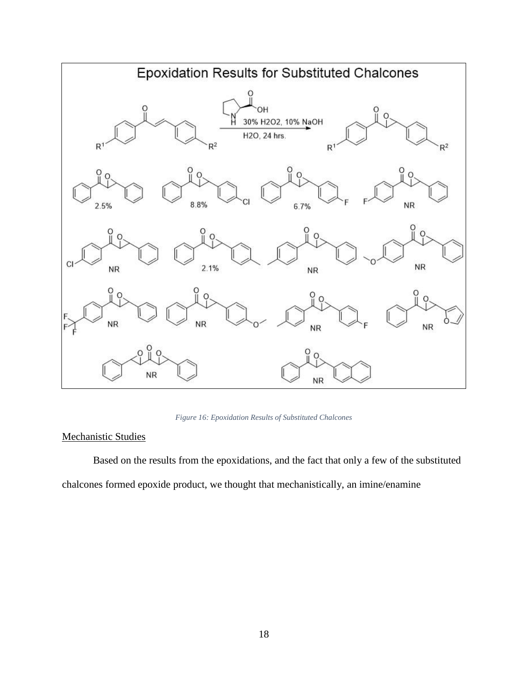

*Figure 16: Epoxidation Results of Substituted Chalcones*

### Mechanistic Studies

Based on the results from the epoxidations, and the fact that only a few of the substituted chalcones formed epoxide product, we thought that mechanistically, an imine/enamine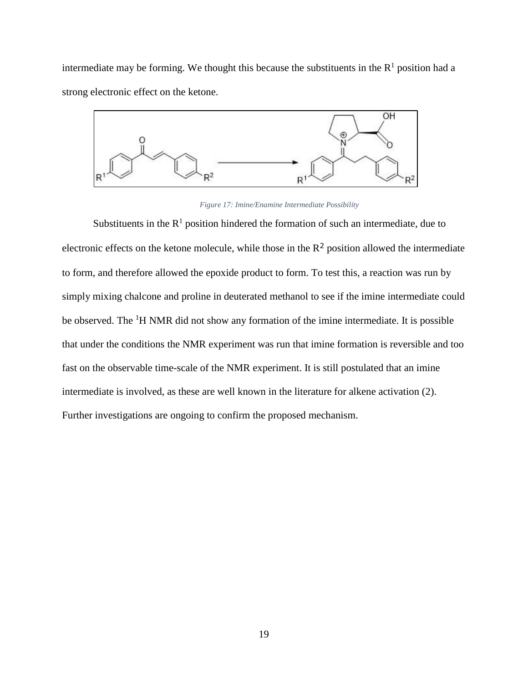intermediate may be forming. We thought this because the substituents in the  $R<sup>1</sup>$  position had a strong electronic effect on the ketone.



*Figure 17: Imine/Enamine Intermediate Possibility*

Substituents in the  $R<sup>1</sup>$  position hindered the formation of such an intermediate, due to electronic effects on the ketone molecule, while those in the  $R^2$  position allowed the intermediate to form, and therefore allowed the epoxide product to form. To test this, a reaction was run by simply mixing chalcone and proline in deuterated methanol to see if the imine intermediate could be observed. The <sup>1</sup>H NMR did not show any formation of the imine intermediate. It is possible that under the conditions the NMR experiment was run that imine formation is reversible and too fast on the observable time-scale of the NMR experiment. It is still postulated that an imine intermediate is involved, as these are well known in the literature for alkene activation (2). Further investigations are ongoing to confirm the proposed mechanism.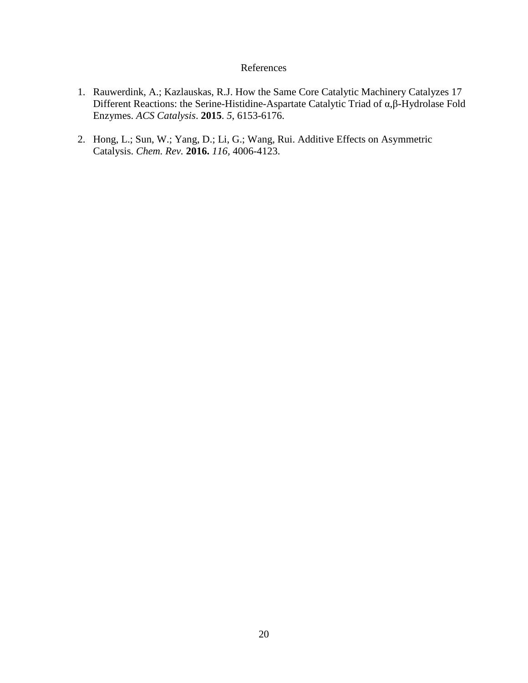### References

- 1. Rauwerdink, A.; Kazlauskas, R.J. How the Same Core Catalytic Machinery Catalyzes 17 Different Reactions: the Serine-Histidine-Aspartate Catalytic Triad of α,β-Hydrolase Fold Enzymes. *ACS Catalysis*. **2015**. *5*, 6153-6176.
- 2. Hong, L.; Sun, W.; Yang, D.; Li, G.; Wang, Rui. Additive Effects on Asymmetric Catalysis. *Chem. Rev.* **2016.** *116,* 4006-4123.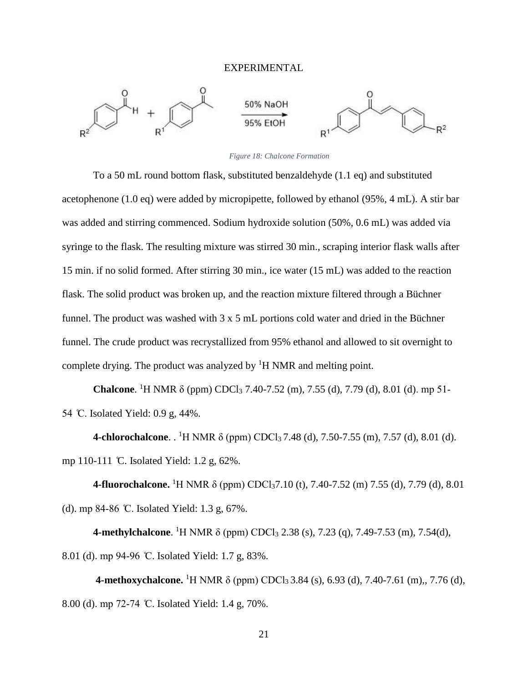#### EXPERIMENTAL



#### *Figure 18: Chalcone Formation*

To a 50 mL round bottom flask, substituted benzaldehyde (1.1 eq) and substituted acetophenone (1.0 eq) were added by micropipette, followed by ethanol (95%, 4 mL). A stir bar was added and stirring commenced. Sodium hydroxide solution (50%, 0.6 mL) was added via syringe to the flask. The resulting mixture was stirred 30 min., scraping interior flask walls after 15 min. if no solid formed. After stirring 30 min., ice water (15 mL) was added to the reaction flask. The solid product was broken up, and the reaction mixture filtered through a Büchner funnel. The product was washed with 3 x 5 mL portions cold water and dried in the Büchner funnel. The crude product was recrystallized from 95% ethanol and allowed to sit overnight to complete drying. The product was analyzed by <sup>1</sup>H NMR and melting point.

**Chalcone**. <sup>1</sup>H NMR δ (ppm) CDCl<sub>3</sub> 7.40-7.52 (m), 7.55 (d), 7.79 (d), 8.01 (d). mp 51-54 ̊C. Isolated Yield: 0.9 g, 44%.

**4-chlorochalcone**. . <sup>1</sup>H NMR δ (ppm) CDCl<sub>3</sub> 7.48 (d), 7.50-7.55 (m), 7.57 (d), 8.01 (d). mp 110-111 ̊C. Isolated Yield: 1.2 g, 62%.

**4-fluorochalcone.** <sup>1</sup>H NMR δ (ppm) CDCl<sub>3</sub>7.10 (t), 7.40-7.52 (m) 7.55 (d), 7.79 (d), 8.01 (d). mp 84-86 ̊C. Isolated Yield: 1.3 g, 67%.

**4-methylchalcone**. <sup>1</sup>H NMR δ (ppm) CDCl<sub>3</sub> 2.38 (s), 7.23 (q), 7.49-7.53 (m), 7.54(d), 8.01 (d). mp 94-96 °C. Isolated Yield: 1.7 g, 83%.

**4-methoxychalcone.** <sup>1</sup>H NMR δ (ppm) CDCl<sub>3</sub> 3.84 (s), 6.93 (d), 7.40-7.61 (m),, 7.76 (d), 8.00 (d). mp 72-74 °C. Isolated Yield: 1.4 g, 70%.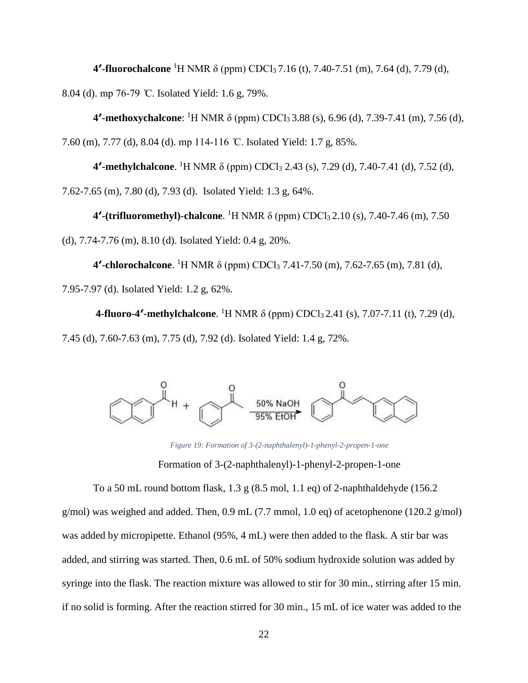**4′-fluorochalcone** <sup>1</sup>H NMR δ (ppm) CDCl3 7.16 (t), 7.40-7.51 (m), 7.64 (d), 7.79 (d), 8.04 (d). mp 76-79 ̊C. Isolated Yield: 1.6 g, 79%.

**4′-methoxychalcone**: <sup>1</sup>H NMR δ (ppm) CDCl3 3.88 (s), 6.96 (d), 7.39-7.41 (m), 7.56 (d), 7.60 (m), 7.77 (d), 8.04 (d). mp 114-116 ̊C. Isolated Yield: 1.7 g, 85%.

**4<sup>***'***</sup>-methylchalcone**. <sup>1</sup>H NMR δ (ppm) CDCl<sub>3</sub> 2.43 (s), 7.29 (d), 7.40-7.41 (d), 7.52 (d), 7.62-7.65 (m), 7.80 (d), 7.93 (d). Isolated Yield: 1.3 g, 64%.

**4′-(trifluoromethyl)-chalcone**. <sup>1</sup>H NMR δ (ppm) CDCl3 2.10 (s), 7.40-7.46 (m), 7.50

(d), 7.74-7.76 (m), 8.10 (d). Isolated Yield: 0.4 g, 20%.

**4′-chlorochalcone**. <sup>1</sup>H NMR δ (ppm) CDCl<sup>3</sup> 7.41-7.50 (m), 7.62-7.65 (m), 7.81 (d), 7.95-7.97 (d). Isolated Yield: 1.2 g, 62%.

**4-fluoro-4'-methylchalcone**. <sup>1</sup>H NMR δ (ppm) CDCl<sub>3</sub> 2.41 (s), 7.07-7.11 (t), 7.29 (d), 7.45 (d), 7.60-7.63 (m), 7.75 (d), 7.92 (d). Isolated Yield: 1.4 g, 72%.



*Figure 19: Formation of 3-(2-naphthalenyl)-1-phenyl-2-propen-1-one*

Formation of 3-(2-naphthalenyl)-1-phenyl-2-propen-1-one

To a 50 mL round bottom flask,  $1.3 \text{ g}$  (8.5 mol, 1.1 eq) of 2-naphthaldehyde (156.2) g/mol) was weighed and added. Then,  $0.9$  mL (7.7 mmol, 1.0 eq) of acetophenone (120.2 g/mol) was added by micropipette. Ethanol (95%, 4 mL) were then added to the flask. A stir bar was added, and stirring was started. Then, 0.6 mL of 50% sodium hydroxide solution was added by syringe into the flask. The reaction mixture was allowed to stir for 30 min., stirring after 15 min. if no solid is forming. After the reaction stirred for 30 min., 15 mL of ice water was added to the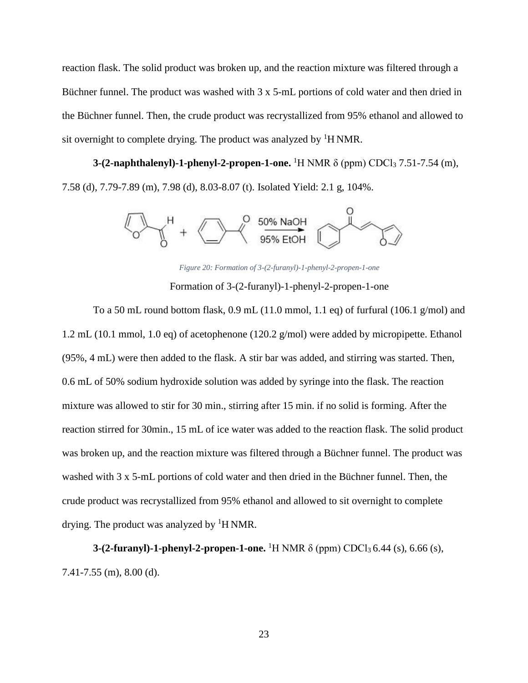reaction flask. The solid product was broken up, and the reaction mixture was filtered through a Büchner funnel. The product was washed with 3 x 5-mL portions of cold water and then dried in the Büchner funnel. Then, the crude product was recrystallized from 95% ethanol and allowed to sit overnight to complete drying. The product was analyzed by  ${}^{1}$ H NMR.

**3-(2-naphthalenyl)-1-phenyl-2-propen-1-one.** <sup>1</sup>H NMR δ (ppm) CDCl<sub>3</sub> 7.51-7.54 (m), 7.58 (d), 7.79-7.89 (m), 7.98 (d), 8.03-8.07 (t). Isolated Yield: 2.1 g, 104%.



*Figure 20: Formation of 3-(2-furanyl)-1-phenyl-2-propen-1-one*

Formation of 3-(2-furanyl)-1-phenyl-2-propen-1-one

To a 50 mL round bottom flask,  $0.9$  mL (11.0 mmol, 1.1 eq) of furfural (106.1 g/mol) and 1.2 mL (10.1 mmol, 1.0 eq) of acetophenone (120.2 g/mol) were added by micropipette. Ethanol (95%, 4 mL) were then added to the flask. A stir bar was added, and stirring was started. Then, 0.6 mL of 50% sodium hydroxide solution was added by syringe into the flask. The reaction mixture was allowed to stir for 30 min., stirring after 15 min. if no solid is forming. After the reaction stirred for 30min., 15 mL of ice water was added to the reaction flask. The solid product was broken up, and the reaction mixture was filtered through a Büchner funnel. The product was washed with 3 x 5-mL portions of cold water and then dried in the Büchner funnel. Then, the crude product was recrystallized from 95% ethanol and allowed to sit overnight to complete drying. The product was analyzed by  ${}^{1}$ H NMR.

**3-(2-furanyl)-1-phenyl-2-propen-1-one.** <sup>1</sup>H NMR δ (ppm) CDCl<sub>3</sub> 6.44 (s), 6.66 (s), 7.41-7.55 (m), 8.00 (d).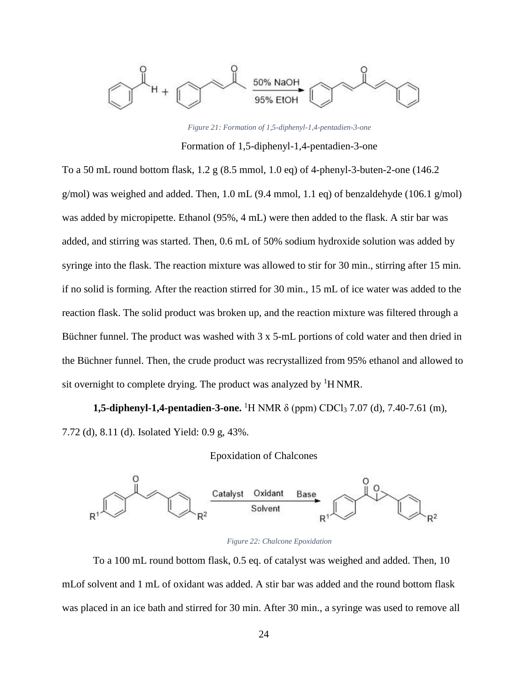

*Figure 21: Formation of 1,5-diphenyl-1,4-pentadien-3-one* Formation of 1,5-diphenyl-1,4-pentadien-3-one

To a 50 mL round bottom flask, 1.2 g (8.5 mmol, 1.0 eq) of 4-phenyl-3-buten-2-one (146.2 g/mol) was weighed and added. Then,  $1.0$  mL (9.4 mmol,  $1.1$  eq) of benzaldehyde (106.1 g/mol) was added by micropipette. Ethanol (95%, 4 mL) were then added to the flask. A stir bar was added, and stirring was started. Then, 0.6 mL of 50% sodium hydroxide solution was added by syringe into the flask. The reaction mixture was allowed to stir for 30 min., stirring after 15 min. if no solid is forming. After the reaction stirred for 30 min., 15 mL of ice water was added to the reaction flask. The solid product was broken up, and the reaction mixture was filtered through a Büchner funnel. The product was washed with 3 x 5-mL portions of cold water and then dried in the Büchner funnel. Then, the crude product was recrystallized from 95% ethanol and allowed to sit overnight to complete drying. The product was analyzed by  ${}^{1}$ H NMR.

**1,5-diphenyl-1,4-pentadien-3-one.** <sup>1</sup>H NMR δ (ppm) CDCl<sub>3</sub> 7.07 (d), 7.40-7.61 (m), 7.72 (d), 8.11 (d). Isolated Yield: 0.9 g, 43%.

#### Epoxidation of Chalcones





To a 100 mL round bottom flask, 0.5 eq. of catalyst was weighed and added. Then, 10 mLof solvent and 1 mL of oxidant was added. A stir bar was added and the round bottom flask was placed in an ice bath and stirred for 30 min. After 30 min., a syringe was used to remove all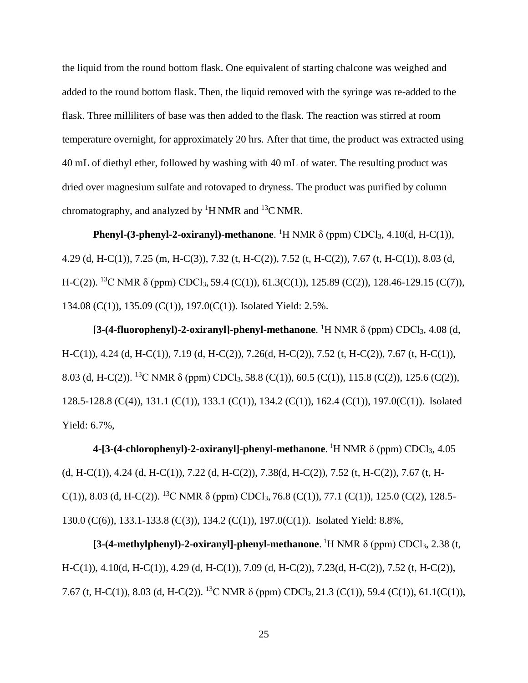the liquid from the round bottom flask. One equivalent of starting chalcone was weighed and added to the round bottom flask. Then, the liquid removed with the syringe was re-added to the flask. Three milliliters of base was then added to the flask. The reaction was stirred at room temperature overnight, for approximately 20 hrs. After that time, the product was extracted using 40 mL of diethyl ether, followed by washing with 40 mL of water. The resulting product was dried over magnesium sulfate and rotovaped to dryness. The product was purified by column chromatography, and analyzed by  ${}^{1}$ H NMR and  ${}^{13}$ C NMR.

**Phenyl-(3-phenyl-2-oxiranyl)-methanone**. <sup>1</sup>H NMR δ (ppm) CDCl<sub>3</sub>, 4.10(d, H-C(1)), 4.29 (d, H-C(1)), 7.25 (m, H-C(3)), 7.32 (t, H-C(2)), 7.52 (t, H-C(2)), 7.67 (t, H-C(1)), 8.03 (d, H-C(2)). <sup>13</sup>C NMR  $\delta$  (ppm) CDCl<sub>3</sub>, 59.4 (C(1)), 61.3(C(1)), 125.89 (C(2)), 128.46-129.15 (C(7)), 134.08 (C(1)), 135.09 (C(1)), 197.0(C(1)). Isolated Yield: 2.5%.

**[3-(4-fluorophenyl)-2-oxiranyl]-phenyl-methanone**. <sup>1</sup>H NMR δ (ppm) CDCl3, 4.08 (d, H-C(1)), 4.24 (d, H-C(1)), 7.19 (d, H-C(2)), 7.26(d, H-C(2)), 7.52 (t, H-C(2)), 7.67 (t, H-C(1)), 8.03 (d, H-C(2)). <sup>13</sup>C NMR  $\delta$  (ppm) CDCl<sub>3</sub>, 58.8 (C(1)), 60.5 (C(1)), 115.8 (C(2)), 125.6 (C(2)), 128.5-128.8 (C(4)), 131.1 (C(1)), 133.1 (C(1)), 134.2 (C(1)), 162.4 (C(1)), 197.0(C(1)). Isolated Yield: 6.7%,

**4-[3-(4-chlorophenyl)-2-oxiranyl]-phenyl-methanone**. <sup>1</sup>H NMR δ (ppm) CDCl<sub>3</sub>, 4.05 (d, H-C(1)), 4.24 (d, H-C(1)), 7.22 (d, H-C(2)), 7.38(d, H-C(2)), 7.52 (t, H-C(2)), 7.67 (t, H-C(1)), 8.03 (d, H-C(2)). <sup>13</sup>C NMR  $\delta$  (ppm) CDCl<sub>3</sub>, 76.8 (C(1)), 77.1 (C(1)), 125.0 (C(2), 128.5-130.0 (C(6)), 133.1-133.8 (C(3)), 134.2 (C(1)), 197.0(C(1)). Isolated Yield: 8.8%,

[**3-(4-methylphenyl)-2-oxiranyl]-phenyl-methanone**. <sup>1</sup>H NMR δ (ppm) CDCl<sub>3</sub>, 2.38 (t, H-C(1)), 4.10(d, H-C(1)), 4.29 (d, H-C(1)), 7.09 (d, H-C(2)), 7.23(d, H-C(2)), 7.52 (t, H-C(2)), 7.67 (t, H-C(1)), 8.03 (d, H-C(2)). <sup>13</sup>C NMR  $\delta$  (ppm) CDCl<sub>3</sub>, 21.3 (C(1)), 59.4 (C(1)), 61.1(C(1)),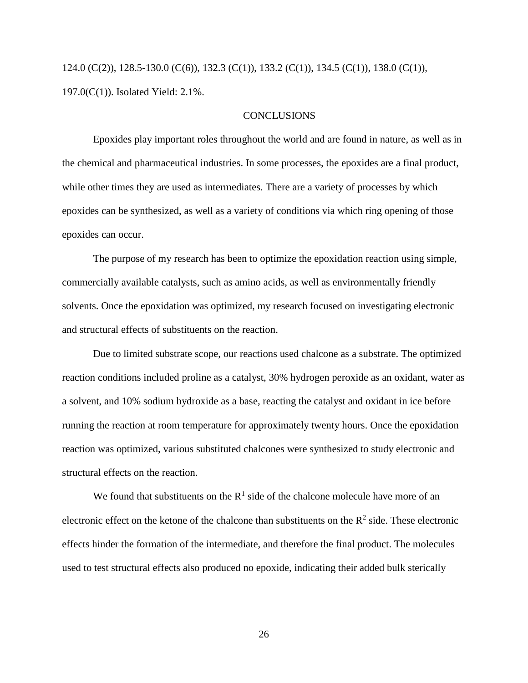124.0 (C(2)), 128.5-130.0 (C(6)), 132.3 (C(1)), 133.2 (C(1)), 134.5 (C(1)), 138.0 (C(1)), 197.0(C(1)). Isolated Yield: 2.1%.

#### **CONCLUSIONS**

Epoxides play important roles throughout the world and are found in nature, as well as in the chemical and pharmaceutical industries. In some processes, the epoxides are a final product, while other times they are used as intermediates. There are a variety of processes by which epoxides can be synthesized, as well as a variety of conditions via which ring opening of those epoxides can occur.

The purpose of my research has been to optimize the epoxidation reaction using simple, commercially available catalysts, such as amino acids, as well as environmentally friendly solvents. Once the epoxidation was optimized, my research focused on investigating electronic and structural effects of substituents on the reaction.

Due to limited substrate scope, our reactions used chalcone as a substrate. The optimized reaction conditions included proline as a catalyst, 30% hydrogen peroxide as an oxidant, water as a solvent, and 10% sodium hydroxide as a base, reacting the catalyst and oxidant in ice before running the reaction at room temperature for approximately twenty hours. Once the epoxidation reaction was optimized, various substituted chalcones were synthesized to study electronic and structural effects on the reaction.

We found that substituents on the  $R<sup>1</sup>$  side of the chalcone molecule have more of an electronic effect on the ketone of the chalcone than substituents on the  $\mathbb{R}^2$  side. These electronic effects hinder the formation of the intermediate, and therefore the final product. The molecules used to test structural effects also produced no epoxide, indicating their added bulk sterically

26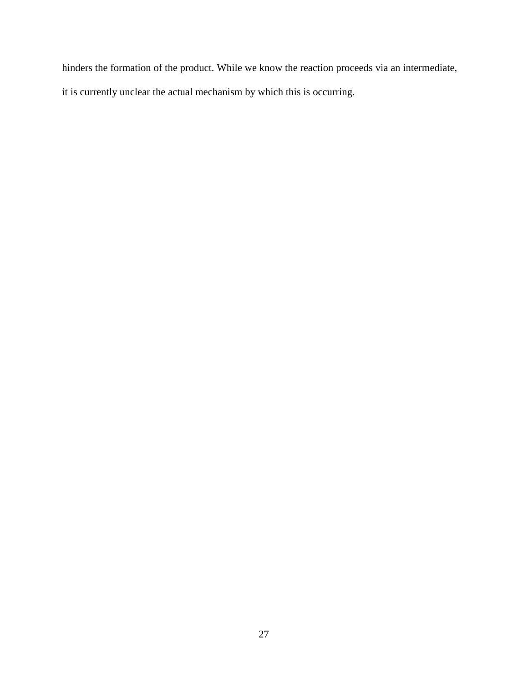hinders the formation of the product. While we know the reaction proceeds via an intermediate, it is currently unclear the actual mechanism by which this is occurring.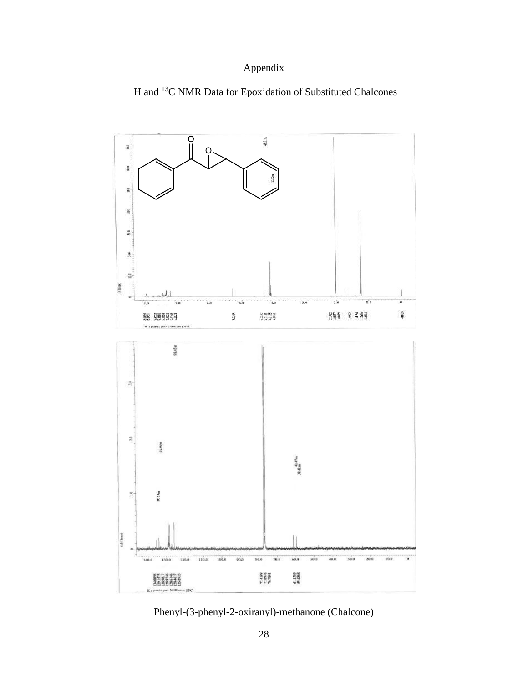### Appendix





Phenyl-(3-phenyl-2-oxiranyl)-methanone (Chalcone)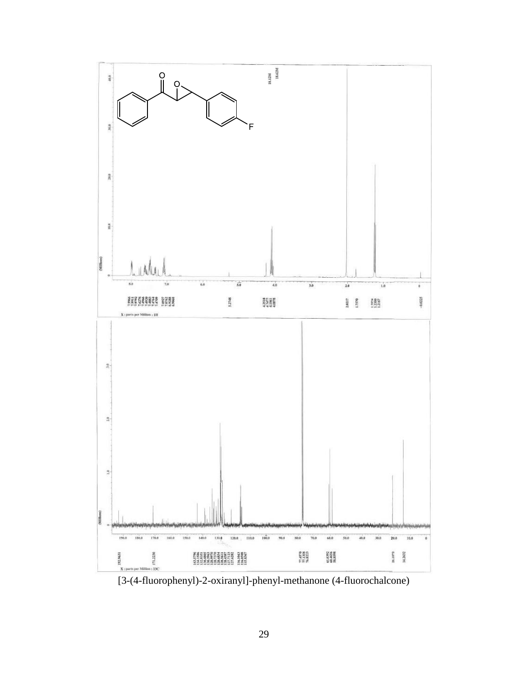

[3-(4-fluorophenyl)-2-oxiranyl]-phenyl-methanone (4-fluorochalcone)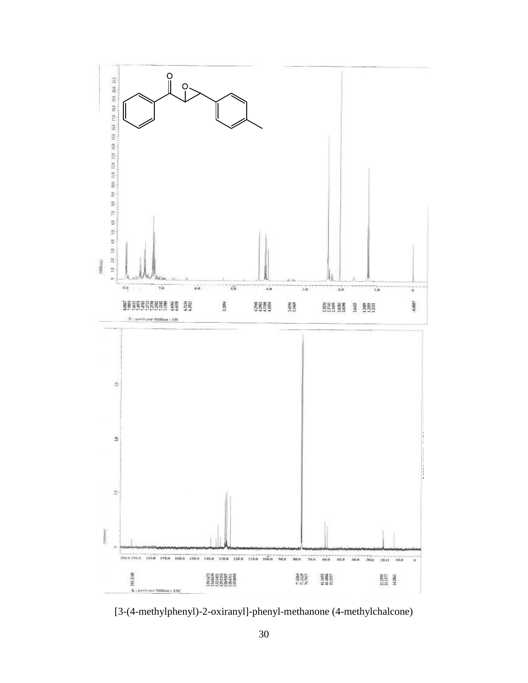

[3-(4-methylphenyl)-2-oxiranyl]-phenyl-methanone (4-methylchalcone)